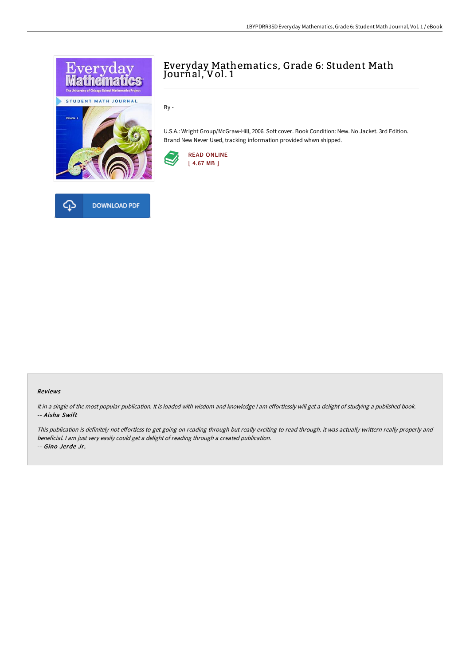

# Everyday Mathematics, Grade 6: Student Math Journal, Vol. 1

By -

U.S.A.: Wright Group/McGraw-Hill, 2006. Soft cover. Book Condition: New. No Jacket. 3rd Edition. Brand New Never Used, tracking information provided whwn shipped.



#### Reviews

It in <sup>a</sup> single of the most popular publication. It is loaded with wisdom and knowledge <sup>I</sup> am effortlessly will get <sup>a</sup> delight of studying <sup>a</sup> published book. -- Aisha Swift

This publication is definitely not effortless to get going on reading through but really exciting to read through. it was actually writtern really properly and beneficial. <sup>I</sup> am just very easily could get <sup>a</sup> delight of reading through <sup>a</sup> created publication. -- Gino Jerde Jr.